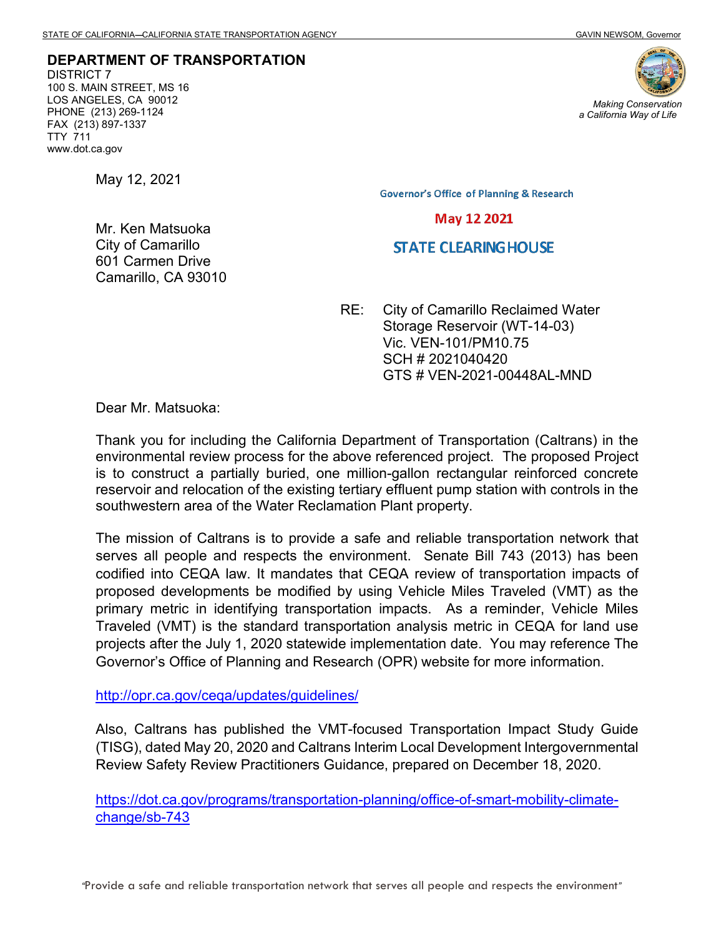**DEPARTMENT OF TRANSPORTATION** DISTRICT 7 100 S. MAIN STREET, MS 16 LOS ANGELES, CA 90012 PHONE (213) 269-1124 FAX (213) 897-1337 TTY 711 www.dot.ca.gov



May 12, 2021

Mr. Ken Matsuoka City of Camarillo 601 Carmen Drive Camarillo, CA 93010 **Governor's Office of Planning & Research** 

**May 12 2021** 

## **STATE CLEARING HOUSE**

RE: City of Camarillo Reclaimed Water Storage Reservoir (WT-14-03) Vic. VEN-101/PM10.75 SCH # 2021040420 GTS # VEN-2021-00448AL-MND

Dear Mr. Matsuoka:

Thank you for including the California Department of Transportation (Caltrans) in the environmental review process for the above referenced project. The proposed Project is to construct a partially buried, one million-gallon rectangular reinforced concrete reservoir and relocation of the existing tertiary effluent pump station with controls in the southwestern area of the Water Reclamation Plant property.

The mission of Caltrans is to provide a safe and reliable transportation network that serves all people and respects the environment. Senate Bill 743 (2013) has been codified into CEQA law. It mandates that CEQA review of transportation impacts of proposed developments be modified by using Vehicle Miles Traveled (VMT) as the primary metric in identifying transportation impacts. As a reminder, Vehicle Miles Traveled (VMT) is the standard transportation analysis metric in CEQA for land use projects after the July 1, 2020 statewide implementation date. You may reference The Governor's Office of Planning and Research (OPR) website for more information.

<http://opr.ca.gov/ceqa/updates/guidelines/>

Also, Caltrans has published the VMT-focused Transportation Impact Study Guide (TISG), dated May 20, 2020 and Caltrans Interim Local Development Intergovernmental Review Safety Review Practitioners Guidance, prepared on December 18, 2020.

[https://dot.ca.gov/programs/transportation-planning/office-of-smart-mobility-climate](https://dot.ca.gov/programs/transportation-planning/office-of-smart-mobility-climate-change/sb-743)[change/sb-743](https://dot.ca.gov/programs/transportation-planning/office-of-smart-mobility-climate-change/sb-743)